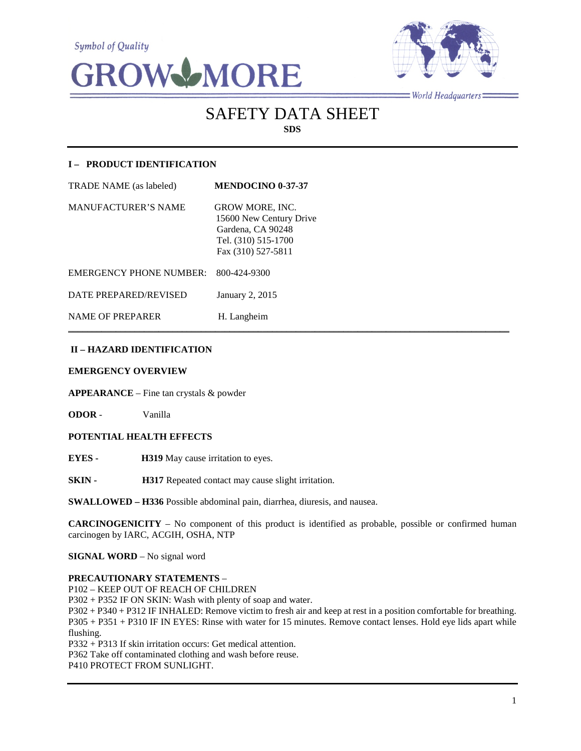**Symbol of Quality** 





 $=$ World Headquarters $=$ 

# SAFETY DATA SHEET **SDS**

# **I – PRODUCT IDENTIFICATION**

| <b>TRADE NAME</b> (as labeled) | <b>MENDOCINO 0-37-37</b>                                                                                            |
|--------------------------------|---------------------------------------------------------------------------------------------------------------------|
| <b>MANUFACTURER'S NAME</b>     | <b>GROW MORE, INC.</b><br>15600 New Century Drive<br>Gardena, CA 90248<br>Tel. (310) 515-1700<br>Fax (310) 527-5811 |
| <b>EMERGENCY PHONE NUMBER:</b> | 800-424-9300                                                                                                        |
| DATE PREPARED/REVISED          | January 2, 2015                                                                                                     |
| <b>NAME OF PREPARER</b>        | H. Langheim                                                                                                         |

# **II – HAZARD IDENTIFICATION**

#### **EMERGENCY OVERVIEW**

**APPEARANCE** – Fine tan crystals & powder

**ODOR** - Vanilla

## **POTENTIAL HEALTH EFFECTS**

**EYES - H319** May cause irritation to eyes.

**SKIN - H317** Repeated contact may cause slight irritation.

**SWALLOWED – H336** Possible abdominal pain, diarrhea, diuresis, and nausea.

**CARCINOGENICITY** – No component of this product is identified as probable, possible or confirmed human carcinogen by IARC, ACGIH, OSHA, NTP

 $\mathcal{L}_\mathcal{L} = \mathcal{L}_\mathcal{L} = \mathcal{L}_\mathcal{L} = \mathcal{L}_\mathcal{L} = \mathcal{L}_\mathcal{L} = \mathcal{L}_\mathcal{L} = \mathcal{L}_\mathcal{L} = \mathcal{L}_\mathcal{L} = \mathcal{L}_\mathcal{L} = \mathcal{L}_\mathcal{L} = \mathcal{L}_\mathcal{L} = \mathcal{L}_\mathcal{L} = \mathcal{L}_\mathcal{L} = \mathcal{L}_\mathcal{L} = \mathcal{L}_\mathcal{L} = \mathcal{L}_\mathcal{L} = \mathcal{L}_\mathcal{L}$ 

**SIGNAL WORD** – No signal word

#### **PRECAUTIONARY STATEMENTS** –

P102 – KEEP OUT OF REACH OF CHILDREN

P302 + P352 IF ON SKIN: Wash with plenty of soap and water.

P302 + P340 + P312 IF INHALED: Remove victim to fresh air and keep at rest in a position comfortable for breathing. P305 + P351 + P310 IF IN EYES: Rinse with water for 15 minutes. Remove contact lenses. Hold eye lids apart while flushing.

P332 + P313 If skin irritation occurs: Get medical attention.

P362 Take off contaminated clothing and wash before reuse.

P410 PROTECT FROM SUNLIGHT.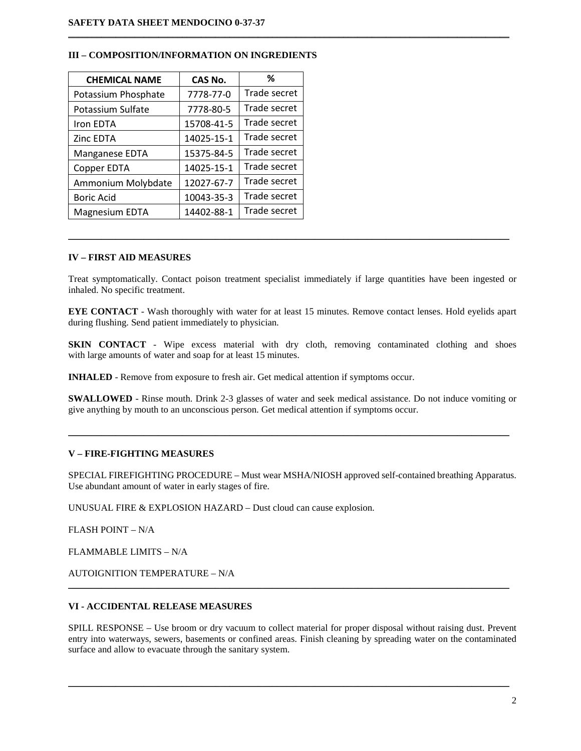| <b>CHEMICAL NAME</b>  | CAS No.    | ℅            |
|-----------------------|------------|--------------|
| Potassium Phosphate   | 7778-77-0  | Trade secret |
| Potassium Sulfate     | 7778-80-5  | Trade secret |
| Iron EDTA             | 15708-41-5 | Trade secret |
| Zinc EDTA             | 14025-15-1 | Trade secret |
| Manganese EDTA        | 15375-84-5 | Trade secret |
| Copper EDTA           | 14025-15-1 | Trade secret |
| Ammonium Molybdate    | 12027-67-7 | Trade secret |
| <b>Boric Acid</b>     | 10043-35-3 | Trade secret |
| <b>Magnesium EDTA</b> | 14402-88-1 | Trade secret |

## **III – COMPOSITION/INFORMATION ON INGREDIENTS**

## **IV – FIRST AID MEASURES**

Treat symptomatically. Contact poison treatment specialist immediately if large quantities have been ingested or inhaled. No specific treatment.

 $\mathcal{L}_\mathcal{L} = \{ \mathcal{L}_\mathcal{L} = \{ \mathcal{L}_\mathcal{L} = \{ \mathcal{L}_\mathcal{L} = \{ \mathcal{L}_\mathcal{L} = \{ \mathcal{L}_\mathcal{L} = \{ \mathcal{L}_\mathcal{L} = \{ \mathcal{L}_\mathcal{L} = \{ \mathcal{L}_\mathcal{L} = \{ \mathcal{L}_\mathcal{L} = \{ \mathcal{L}_\mathcal{L} = \{ \mathcal{L}_\mathcal{L} = \{ \mathcal{L}_\mathcal{L} = \{ \mathcal{L}_\mathcal{L} = \{ \mathcal{L}_\mathcal{$ 

 $\mathcal{L}_\mathcal{L} = \{ \mathcal{L}_\mathcal{L} = \{ \mathcal{L}_\mathcal{L} = \{ \mathcal{L}_\mathcal{L} = \{ \mathcal{L}_\mathcal{L} = \{ \mathcal{L}_\mathcal{L} = \{ \mathcal{L}_\mathcal{L} = \{ \mathcal{L}_\mathcal{L} = \{ \mathcal{L}_\mathcal{L} = \{ \mathcal{L}_\mathcal{L} = \{ \mathcal{L}_\mathcal{L} = \{ \mathcal{L}_\mathcal{L} = \{ \mathcal{L}_\mathcal{L} = \{ \mathcal{L}_\mathcal{L} = \{ \mathcal{L}_\mathcal{$ 

**EYE CONTACT** - Wash thoroughly with water for at least 15 minutes. Remove contact lenses. Hold eyelids apart during flushing. Send patient immediately to physician.

**SKIN CONTACT** - Wipe excess material with dry cloth, removing contaminated clothing and shoes with large amounts of water and soap for at least 15 minutes.

**INHALED** - Remove from exposure to fresh air. Get medical attention if symptoms occur.

**SWALLOWED** - Rinse mouth. Drink 2-3 glasses of water and seek medical assistance. Do not induce vomiting or give anything by mouth to an unconscious person. Get medical attention if symptoms occur.

 $\mathcal{L}_\mathcal{L} = \{ \mathcal{L}_\mathcal{L} = \{ \mathcal{L}_\mathcal{L} = \{ \mathcal{L}_\mathcal{L} = \{ \mathcal{L}_\mathcal{L} = \{ \mathcal{L}_\mathcal{L} = \{ \mathcal{L}_\mathcal{L} = \{ \mathcal{L}_\mathcal{L} = \{ \mathcal{L}_\mathcal{L} = \{ \mathcal{L}_\mathcal{L} = \{ \mathcal{L}_\mathcal{L} = \{ \mathcal{L}_\mathcal{L} = \{ \mathcal{L}_\mathcal{L} = \{ \mathcal{L}_\mathcal{L} = \{ \mathcal{L}_\mathcal{$ 

## **V – FIRE-FIGHTING MEASURES**

SPECIAL FIREFIGHTING PROCEDURE – Must wear MSHA/NIOSH approved self-contained breathing Apparatus. Use abundant amount of water in early stages of fire.

UNUSUAL FIRE & EXPLOSION HAZARD – Dust cloud can cause explosion.

FLASH POINT – N/A

FLAMMABLE LIMITS – N/A

AUTOIGNITION TEMPERATURE – N/A

## **VI - ACCIDENTAL RELEASE MEASURES**

SPILL RESPONSE – Use broom or dry vacuum to collect material for proper disposal without raising dust. Prevent entry into waterways, sewers, basements or confined areas. Finish cleaning by spreading water on the contaminated surface and allow to evacuate through the sanitary system.

\_\_\_\_\_\_\_\_\_\_\_\_\_\_\_\_\_\_\_\_\_\_\_\_\_\_\_\_\_\_\_\_\_\_\_\_\_\_\_\_\_\_\_\_\_\_\_\_\_\_\_\_\_\_\_\_\_\_\_\_\_\_\_\_\_\_\_\_\_\_\_\_\_\_\_\_\_\_\_\_\_\_\_\_\_\_\_\_\_\_\_\_\_

 $\mathcal{L}_\mathcal{L} = \mathcal{L}_\mathcal{L} = \mathcal{L}_\mathcal{L} = \mathcal{L}_\mathcal{L} = \mathcal{L}_\mathcal{L} = \mathcal{L}_\mathcal{L} = \mathcal{L}_\mathcal{L} = \mathcal{L}_\mathcal{L} = \mathcal{L}_\mathcal{L} = \mathcal{L}_\mathcal{L} = \mathcal{L}_\mathcal{L} = \mathcal{L}_\mathcal{L} = \mathcal{L}_\mathcal{L} = \mathcal{L}_\mathcal{L} = \mathcal{L}_\mathcal{L} = \mathcal{L}_\mathcal{L} = \mathcal{L}_\mathcal{L}$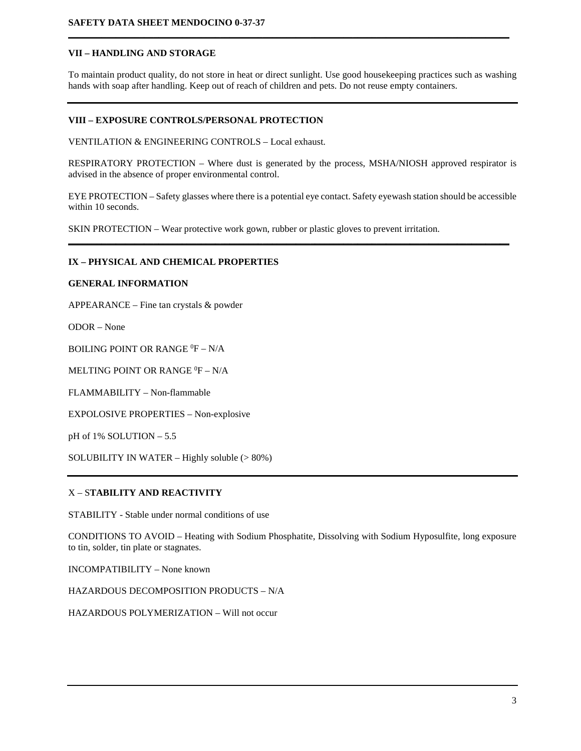## **VII – HANDLING AND STORAGE**

To maintain product quality, do not store in heat or direct sunlight. Use good housekeeping practices such as washing hands with soap after handling. Keep out of reach of children and pets. Do not reuse empty containers.

**\_\_\_\_\_\_\_\_\_\_\_\_\_\_\_\_\_\_\_\_\_\_\_\_\_\_\_\_\_\_\_\_\_\_\_\_\_\_\_\_\_\_\_\_\_\_\_\_\_\_\_\_\_\_\_\_\_\_\_\_\_\_\_\_\_\_\_\_\_\_\_\_\_\_\_\_\_\_\_\_\_\_\_\_\_\_\_\_\_\_\_\_\_**

# **VIII – EXPOSURE CONTROLS/PERSONAL PROTECTION**

VENTILATION & ENGINEERING CONTROLS – Local exhaust.

RESPIRATORY PROTECTION – Where dust is generated by the process, MSHA/NIOSH approved respirator is advised in the absence of proper environmental control.

EYE PROTECTION – Safety glasses where there is a potential eye contact. Safety eyewash station should be accessible within 10 seconds.

**\_\_\_\_\_\_\_\_\_\_\_\_\_\_\_\_\_\_\_\_\_\_\_\_\_\_\_\_\_\_\_\_\_\_\_\_\_\_\_\_\_\_\_\_\_\_\_\_\_\_\_\_\_\_\_\_\_\_\_\_\_\_\_\_\_\_\_\_\_\_\_\_\_\_\_\_\_\_\_\_\_\_\_\_\_\_\_\_\_\_\_\_\_**

SKIN PROTECTION – Wear protective work gown, rubber or plastic gloves to prevent irritation.

## **IX – PHYSICAL AND CHEMICAL PROPERTIES**

#### **GENERAL INFORMATION**

APPEARANCE – Fine tan crystals & powder

ODOR – None

BOILING POINT OR RANGE  $^0$ F – N/A

MELTING POINT OR RANGE  ${}^{0}\text{F} - \text{N/A}$ 

FLAMMABILITY – Non-flammable

EXPOLOSIVE PROPERTIES – Non-explosive

pH of 1% SOLUTION – 5.5

SOLUBILITY IN WATER – Highly soluble (> 80%)

## X – S**TABILITY AND REACTIVITY**

STABILITY - Stable under normal conditions of use

CONDITIONS TO AVOID – Heating with Sodium Phosphatite, Dissolving with Sodium Hyposulfite, long exposure to tin, solder, tin plate or stagnates.

INCOMPATIBILITY – None known

HAZARDOUS DECOMPOSITION PRODUCTS – N/A

HAZARDOUS POLYMERIZATION – Will not occur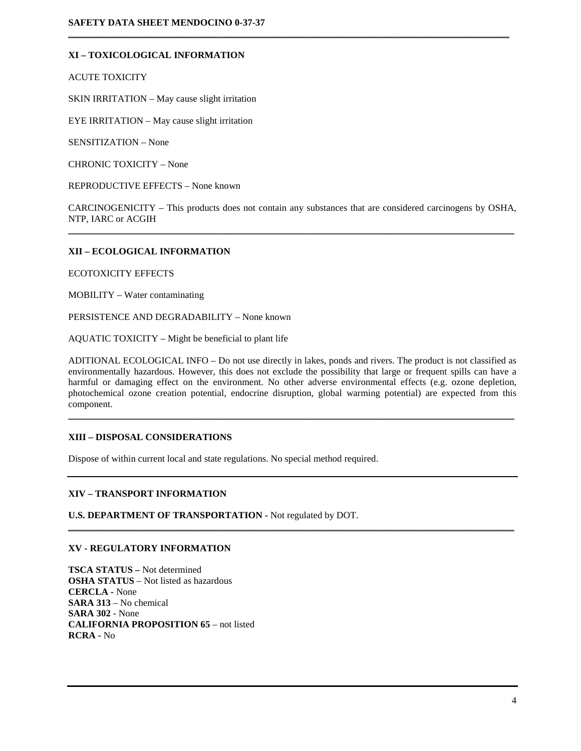# **XI – TOXICOLOGICAL INFORMATION**

ACUTE TOXICITY

SKIN IRRITATION – May cause slight irritation

EYE IRRITATION – May cause slight irritation

SENSITIZATION – None

CHRONIC TOXICITY – None

REPRODUCTIVE EFFECTS – None known

CARCINOGENICITY – This products does not contain any substances that are considered carcinogens by OSHA, NTP, IARC or ACGIH  $\mathcal{L}_\mathcal{L} = \{ \mathcal{L}_\mathcal{L} = \{ \mathcal{L}_\mathcal{L} = \{ \mathcal{L}_\mathcal{L} = \{ \mathcal{L}_\mathcal{L} = \{ \mathcal{L}_\mathcal{L} = \{ \mathcal{L}_\mathcal{L} = \{ \mathcal{L}_\mathcal{L} = \{ \mathcal{L}_\mathcal{L} = \{ \mathcal{L}_\mathcal{L} = \{ \mathcal{L}_\mathcal{L} = \{ \mathcal{L}_\mathcal{L} = \{ \mathcal{L}_\mathcal{L} = \{ \mathcal{L}_\mathcal{L} = \{ \mathcal{L}_\mathcal{$ 

 $\mathcal{L}_\mathcal{L} = \{ \mathcal{L}_\mathcal{L} = \{ \mathcal{L}_\mathcal{L} = \{ \mathcal{L}_\mathcal{L} = \{ \mathcal{L}_\mathcal{L} = \{ \mathcal{L}_\mathcal{L} = \{ \mathcal{L}_\mathcal{L} = \{ \mathcal{L}_\mathcal{L} = \{ \mathcal{L}_\mathcal{L} = \{ \mathcal{L}_\mathcal{L} = \{ \mathcal{L}_\mathcal{L} = \{ \mathcal{L}_\mathcal{L} = \{ \mathcal{L}_\mathcal{L} = \{ \mathcal{L}_\mathcal{L} = \{ \mathcal{L}_\mathcal{$ 

## **XII – ECOLOGICAL INFORMATION**

ECOTOXICITY EFFECTS

MOBILITY – Water contaminating

PERSISTENCE AND DEGRADABILITY – None known

AQUATIC TOXICITY – Might be beneficial to plant life

ADITIONAL ECOLOGICAL INFO – Do not use directly in lakes, ponds and rivers. The product is not classified as environmentally hazardous. However, this does not exclude the possibility that large or frequent spills can have a harmful or damaging effect on the environment. No other adverse environmental effects (e.g. ozone depletion, photochemical ozone creation potential, endocrine disruption, global warming potential) are expected from this component.

\_\_\_\_\_\_\_\_\_\_\_\_\_\_\_\_\_\_\_\_\_\_\_\_\_\_\_\_\_\_\_\_\_\_\_\_\_\_\_\_\_\_\_\_\_\_\_\_\_\_\_\_\_\_\_\_\_\_\_\_\_\_\_\_\_\_\_\_\_\_\_\_\_\_\_\_\_\_\_\_\_\_\_\_\_\_\_\_\_\_\_\_\_\_

\_\_\_\_\_\_\_\_\_\_\_\_\_\_\_\_\_\_\_\_\_\_\_\_\_\_\_\_\_\_\_\_\_\_\_\_\_\_\_\_\_\_\_\_\_\_\_\_\_\_\_\_\_\_\_\_\_\_\_\_\_\_\_\_\_\_\_\_\_\_\_\_\_\_\_\_\_\_\_\_\_\_\_\_\_\_\_\_\_\_\_\_\_\_

## **XIII – DISPOSAL CONSIDERATIONS**

Dispose of within current local and state regulations. No special method required.

#### **XIV – TRANSPORT INFORMATION**

**U.S. DEPARTMENT OF TRANSPORTATION -** Not regulated by DOT.

#### **XV - REGULATORY INFORMATION**

**TSCA STATUS –** Not determined **OSHA STATUS** – Not listed as hazardous **CERCLA -** None **SARA 313** – No chemical **SARA 302** - None **CALIFORNIA PROPOSITION 65** – not listed **RCRA -** No